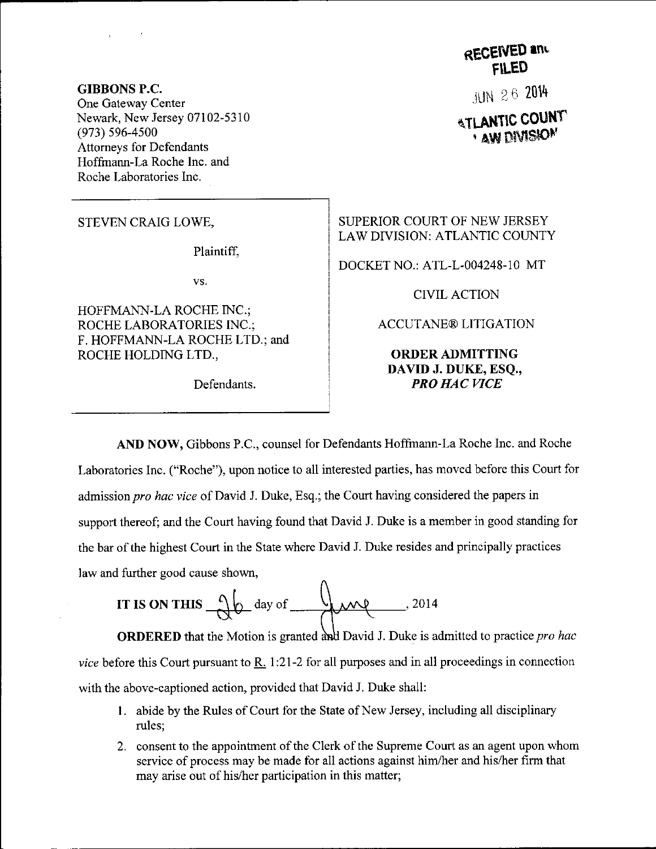GIBBONS P.C. One Gateway Center Newark, New Jersey 07102-5310 (973) s96-4s00 Attomeys for Defendants Hoffrnann-La Roche Inc. and Roche Laboratories Inc.

STEVEN CRAIG LOWE,

Plaintiff.

vs.

HOFFMANN-LA ROCHE INC.; ROCHE LABORATORIES INC.; F. HOFFMANN-LA ROCHE LTD.; and ROCHE HOLDING LTD,,

Defendants.

**RECEIVED and** FlLEo

 $JUN 26 2014$ 

**ATLANTIC COUNT** ' AW DIVISION'

SUPERIOR COURT OF NEW JERSEY LAW DTVISION: ATLANTIC COUNTY

DOCKET NO.: ATL-L-004248-10 MT

CIVIL ACTION

ACCUTANE@ LITIGATION

ORDERADMITTING DAVID J. DUKE, ESQ., PRO HAC VICE

AND NOW, Gibbons P.C., counsel for Defendants Hoffmann-La Roche Inc. and Roche Laboratories Inc. ("Roche"), upon notice to all interested parties, has moved before this Court for admission pro hac vice of David J. Duke, Esq.; the Court having considered the papers in support thereof; and the Court having found that David J. Duke is a member in good standing for the bar of the highest Court in the State where David J. Duke resides and principally practices law and further good cause shown,

IT IS ON THIS 
$$
\sqrt{\theta}
$$
 day of  $\sqrt{2014}$ 

**ORDERED** that the Motion is granted and David J. Duke is admitted to practice *pro hac* vice before this Court pursuant to R. 1:21-2 for all purposes and in all proceedings in connection with the above-captioned action, provided that David J. Duke shall:

- 1. abide by the Rules of Court for the State of New Jersey, including all disciplinary rules;
- 2. consent to the appointment of the Clerk of the Supreme Court as an agent upon whom service of process may be made for all actions against him/her and his/her firm that may arise out of his/her participation in this matter;